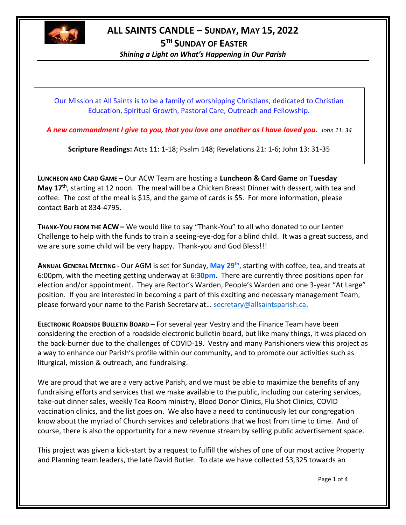

## **ALL SAINTS CANDLE – SUNDAY, MAY 15, 2022**

**5 TH SUNDAY OF EASTER**

*Shining a Light on What's Happening in Our Parish*

Our Mission at All Saints is to be a family of worshipping Christians, dedicated to Christian Education, Spiritual Growth, Pastoral Care, Outreach and Fellowship.

*A new commandment I give to you, that you love one another as I have loved you. John 11: 34*

**Scripture Readings:** Acts 11: 1-18; Psalm 148; Revelations 21: 1-6; John 13: 31-35

**LUNCHEON AND CARD GAME –** Our ACW Team are hosting a **Luncheon & Card Game** on **Tuesday May 17th** , starting at 12 noon. The meal will be a Chicken Breast Dinner with dessert, with tea and coffee. The cost of the meal is \$15, and the game of cards is \$5. For more information, please contact Barb at 834-4795.

**THANK-YOU FROM THE ACW –** We would like to say "Thank-You" to all who donated to our Lenten Challenge to help with the funds to train a seeing-eye-dog for a blind child. It was a great success, and we are sure some child will be very happy. Thank-you and God Bless!!!

**ANNUAL GENERAL MEETING -** Our AGM is set for Sunday**, May 29th**, starting with coffee, tea, and treats at 6:00pm, with the meeting getting underway at **6:30pm**. There are currently three positions open for election and/or appointment. They are Rector's Warden, People's Warden and one 3-year "At Large" position. If you are interested in becoming a part of this exciting and necessary management Team, please forward your name to the Parish Secretary at… [secretary@allsaintsparish.ca.](mailto:Nominations%20for%20Vestry%20%20There%20are%20currently%207%20positions%20open%20for%20election.%20%20If%20you%20are%20interested%20in%20a%20seat%20on%20Vestry,%20and%20being%20a%20part%20of%20this%20exciting%20management%20Team,%20please%20forward%20your%20name%20to%20the%20Parish%20Secretary%20at…%20secretary@allsaintsparish.ca%20%20?subject=Nominations%20for%20Vestry)

**ELECTRONIC ROADSIDE BULLETIN BOARD –** For several year Vestry and the Finance Team have been considering the erection of a roadside electronic bulletin board, but like many things, it was placed on the back-burner due to the challenges of COVID-19. Vestry and many Parishioners view this project as a way to enhance our Parish's profile within our community, and to promote our activities such as liturgical, mission & outreach, and fundraising.

We are proud that we are a very active Parish, and we must be able to maximize the benefits of any fundraising efforts and services that we make available to the public, including our catering services, take-out dinner sales, weekly Tea Room ministry, Blood Donor Clinics, Flu Shot Clinics, COVID vaccination clinics, and the list goes on. We also have a need to continuously let our congregation know about the myriad of Church services and celebrations that we host from time to time. And of course, there is also the opportunity for a new revenue stream by selling public advertisement space.

This project was given a kick-start by a request to fulfill the wishes of one of our most active Property and Planning team leaders, the late David Butler. To date we have collected \$3,325 towards an

Page 1 of 4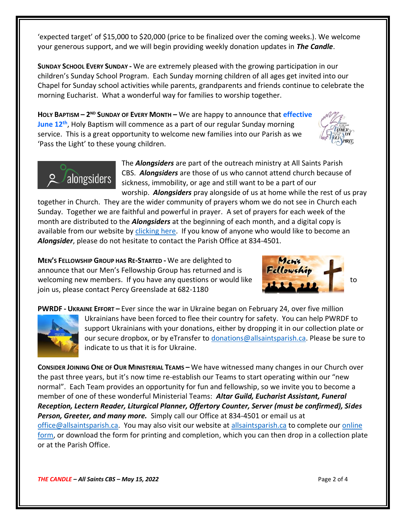'expected target' of \$15,000 to \$20,000 (price to be finalized over the coming weeks.). We welcome your generous support, and we will begin providing weekly donation updates in *The Candle*.

**SUNDAY SCHOOL EVERY SUNDAY -** We are extremely pleased with the growing participation in our children's Sunday School Program. Each Sunday morning children of all ages get invited into our Chapel for Sunday school activities while parents, grandparents and friends continue to celebrate the morning Eucharist. What a wonderful way for families to worship together.

**HOLY BAPTISM – 2 ND SUNDAY OF EVERY MONTH –** We are happy to announce that **effective June 12th**, Holy Baptism will commence as a part of our regular Sunday morning service. This is a great opportunity to welcome new families into our Parish as we 'Pass the Light' to these young children.

> The *Alongsiders* are part of the outreach ministry at All Saints Parish CBS. *Alongsiders* are those of us who cannot attend church because of sickness, immobility, or age and still want to be a part of our worship. *Alongsiders* pray alongside of us at home while the rest of us pray

together in Church. They are the wider community of prayers whom we do not see in Church each Sunday. Together we are faithful and powerful in prayer. A set of prayers for each week of the month are distributed to the *Alongsiders* at the beginning of each month, and a digital copy is available from our website by [clicking here.](http://allsaintsparish.ca/community-organizations#Alongsinders) If you know of anyone who would like to become an *Alongsider*, please do not hesitate to contact the Parish Office at 834-4501.

**MEN'S FELLOWSHIP GROUP HAS RE-STARTED -** We are delighted to announce that our Men's Fellowship Group has returned and is welcoming new members. If you have any questions or would like join us, please contact Percy Greenslade at 682-1180

**PWRDF - UKRAINE EFFORT –** Ever since the war in Ukraine began on February 24, over five million Ukrainians have been forced to flee their country for safety. You can help PWRDF to support Ukrainians with your donations, either by dropping it in our collection plate or

alongsiders

our secure dropbox, or by eTransfer to [donations@allsaintsparish.ca.](mailto:donations@allsaintsparish.ca) Please be sure to indicate to us that it is for Ukraine.

**CONSIDER JOINING ONE OF OUR MINISTERIAL TEAMS –** We have witnessed many changes in our Church over the past three years, but it's now time re-establish our Teams to start operating within our "new normal". Each Team provides an opportunity for fun and fellowship, so we invite you to become a member of one of these wonderful Ministerial Teams: *Altar Guild, Eucharist Assistant, Funeral Reception, Lectern Reader, Liturgical Planner, Offertory Counter, Server (must be confirmed), Sides Person, Greeter, and many more.* Simply call our Office at 834-4501 or email us at [office@allsaintsparish.ca.](mailto:office@allsaintsparish.ca) You may also visit our website at [allsaintsparish.ca](/Users/ralphfagan/Library/Containers/com.microsoft.Word/Data/Library/Preferences/AutoRecovery/allsaintsparish.ca) to complete our [online](http://allsaintsparish.ca/covid-pre-registration-form_2)  [form,](http://allsaintsparish.ca/covid-pre-registration-form_2) or download the form for printing and completion, which you can then drop in a collection plate or at the Parish Office.





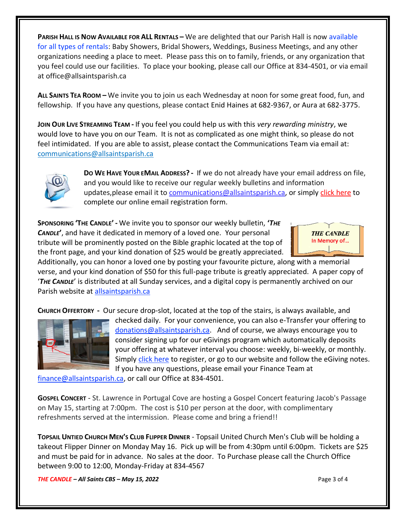**PARISH HALL IS NOW AVAILABLE FOR ALL RENTALS –** We are delighted that our Parish Hall is now available for all types of rentals: Baby Showers, Bridal Showers, Weddings, Business Meetings, and any other organizations needing a place to meet. Please pass this on to family, friends, or any organization that you feel could use our facilities. To place your booking, please call our Office at 834-4501, or via email at office@allsaintsparish.ca

**ALL SAINTS TEA ROOM –** We invite you to join us each Wednesday at noon for some great food, fun, and fellowship. If you have any questions, please contact Enid Haines at 682-9367, or Aura at 682-3775.

**JOIN OUR LIVE STREAMING TEAM -** If you feel you could help us with this *very rewarding ministry*, we would love to have you on our Team. It is not as complicated as one might think, so please do not feel intimidated. If you are able to assist, please contact the Communications Team via email at: [communications@allsaintsparish.ca](mailto:communications@allsaintsparish.ca?subject=Live%20Streaming%20Team) 



**DO WE HAVE YOUR EMAIL ADDRESS? -** If we do not already have your email address on file, and you would like to receive our regular weekly bulletins and information updates, please email it to [communications@allsaintsparish.ca,](mailto:communications@allsaintsparish.ca?subject=eMail%20Address%20Update) or simply [click here](http://allsaintsparish.ca/email_updates) to complete our online email registration form.

**SPONSORING 'THE CANDLE' -** We invite you to sponsor our weekly bulletin, **'***THE CANDLE***'**, and have it dedicated in memory of a loved one. Your personal tribute will be prominently posted on the Bible graphic located at the top of the front page, and your kind donation of \$25 would be greatly appreciated.



Additionally, you can honor a loved one by posting your favourite picture, along with a memorial verse, and your kind donation of \$50 for this full-page tribute is greatly appreciated. A paper copy of '*THE CANDLE*' is distributed at all Sunday services, and a digital copy is permanently archived on our Parish website at [allsaintsparish.ca](http://allsaintsparish.ca/thecandle.html)

**CHURCH OFFERTORY -** Our secure drop-slot, located at the top of the stairs, is always available, and



checked daily. For your convenience, you can also e-Transfer your offering to [donations@allsaintsparish.ca.](mailto:donations@allsaintsparish.ca) And of course, we always encourage you to consider signing up for our eGivings program which automatically deposits your offering at whatever interval you choose: weekly, bi-weekly, or monthly. Simply [click here](http://allsaintsparish.ca/egiving-online-information-form) to register, or go to our website and follow the eGiving notes. If you have [any](https://wfsites-to.websitecreatorprotool.com/870a5dd5.com/Admin/%7BSK_NODEID__22939341__SK%7D) questions, please email your Finance Team at

[finance@allsaintsparish.ca,](mailto:finance@allsaintsparish.ca) or call our Office at 834-4501.

**GOSPEL CONCERT** - St. Lawrence in Portugal Cove are hosting a Gospel Concert featuring Jacob's Passage on May 15, starting at 7:00pm. The cost is \$10 per person at the door, with complimentary refreshments served at the intermission. Please come and bring a friend!!

**TOPSAIL UNTIED CHURCH MEN'S CLUB FLIPPER DINNER** - Topsail United Church Men's Club will be holding a takeout Flipper Dinner on Monday May 16. Pick up will be from 4:30pm until 6:00pm. Tickets are \$25 and must be paid for in advance. No sales at the door. To Purchase please call the Church Office between 9:00 to 12:00, Monday-Friday at 834-4567

*THE CANDLE – All Saints CBS – May 15, 2022* Page 3 of 4